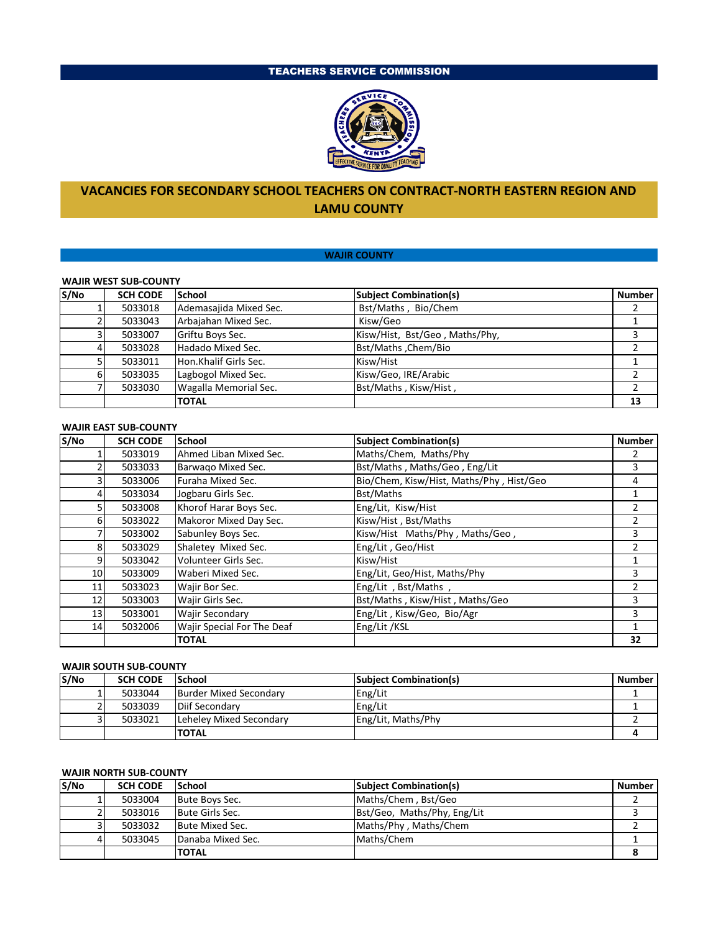## TEACHERS SERVICE COMMISSION



# **VACANCIES FOR SECONDARY SCHOOL TEACHERS ON CONTRACT-NORTH EASTERN REGION AND LAMU COUNTY**

## **WAJIR COUNTY**

#### **WAJIR WEST SUB-COUNTY**

| S/No | <b>SCH CODE</b> | School                 | <b>Subject Combination(s)</b>  | <b>Number</b> |  |
|------|-----------------|------------------------|--------------------------------|---------------|--|
|      | 5033018         | Ademasajida Mixed Sec. | Bst/Maths, Bio/Chem            |               |  |
|      | 5033043         | Arbajahan Mixed Sec.   | Kisw/Geo                       |               |  |
|      | 5033007         | Griftu Boys Sec.       | Kisw/Hist, Bst/Geo, Maths/Phy, |               |  |
| 4    | 5033028         | Hadado Mixed Sec.      | Bst/Maths , Chem/Bio           |               |  |
|      | 5033011         | Hon.Khalif Girls Sec.  | Kisw/Hist                      |               |  |
|      | 5033035         | Lagbogol Mixed Sec.    | Kisw/Geo, IRE/Arabic           |               |  |
|      | 5033030         | Wagalla Memorial Sec.  | Bst/Maths, Kisw/Hist,          |               |  |
|      |                 | <b>TOTAL</b>           |                                | 13            |  |

## **WAJIR EAST SUB-COUNTY**

| S/No | <b>SCH CODE</b> | School                     | <b>Subject Combination(s)</b>            | <b>Number</b> |
|------|-----------------|----------------------------|------------------------------------------|---------------|
|      | 5033019         | Ahmed Liban Mixed Sec.     | Maths/Chem, Maths/Phy                    |               |
|      | 5033033         | Barwago Mixed Sec.         | Bst/Maths, Maths/Geo, Eng/Lit            | 3             |
| 3 I  | 5033006         | Furaha Mixed Sec.          | Bio/Chem, Kisw/Hist, Maths/Phy, Hist/Geo | 4             |
| 4    | 5033034         | Jogbaru Girls Sec.         | Bst/Maths                                |               |
| 5    | 5033008         | Khorof Harar Boys Sec.     | Eng/Lit, Kisw/Hist                       |               |
| 61   | 5033022         | Makoror Mixed Day Sec.     | Kisw/Hist, Bst/Maths                     |               |
| 7    | 5033002         | Sabunley Boys Sec.         | Kisw/Hist Maths/Phy, Maths/Geo,          | 3             |
| 8    | 5033029         | Shaletey Mixed Sec.        | Eng/Lit, Geo/Hist                        |               |
| 9    | 5033042         | Volunteer Girls Sec.       | Kisw/Hist                                |               |
| 10   | 5033009         | Waberi Mixed Sec.          | Eng/Lit, Geo/Hist, Maths/Phy             | 3             |
| 11   | 5033023         | Wajir Bor Sec.             | Eng/Lit, Bst/Maths,                      |               |
| 12   | 5033003         | Wajir Girls Sec.           | Bst/Maths, Kisw/Hist, Maths/Geo          | 3             |
| 13   | 5033001         | <b>Wajir Secondary</b>     | Eng/Lit, Kisw/Geo, Bio/Agr               | 3             |
| 14   | 5032006         | Wajir Special For The Deaf | Eng/Lit /KSL                             |               |
|      |                 | <b>TOTAL</b>               |                                          | 32            |

### **WAJIR SOUTH SUB-COUNTY**

| S/No | <b>SCH CODE</b> | <b>School</b>           | <b>Subject Combination(s)</b> | <b>Number</b> |
|------|-----------------|-------------------------|-------------------------------|---------------|
|      | 5033044         | Burder Mixed Secondary  | Eng/Lit                       |               |
|      | 5033039         | Diif Secondary          | Eng/Lit                       |               |
|      | 5033021         | Lehelev Mixed Secondary | Eng/Lit, Maths/Phy            |               |
|      |                 | <b>TOTAL</b>            |                               |               |

#### **WAJIR NORTH SUB-COUNTY**

| S/No | <b>SCH CODE</b> | <b>School</b>          | <b>Subject Combination(s)</b> | <b>Number</b> |
|------|-----------------|------------------------|-------------------------------|---------------|
|      | 5033004         | Bute Boys Sec.         | Maths/Chem, Bst/Geo           |               |
|      | 5033016         | <b>Bute Girls Sec.</b> | Bst/Geo, Maths/Phy, Eng/Lit   |               |
|      | 5033032         | Bute Mixed Sec.        | Maths/Phy, Maths/Chem         |               |
|      | 5033045         | Danaba Mixed Sec.      | Maths/Chem                    |               |
|      |                 | <b>TOTAL</b>           |                               |               |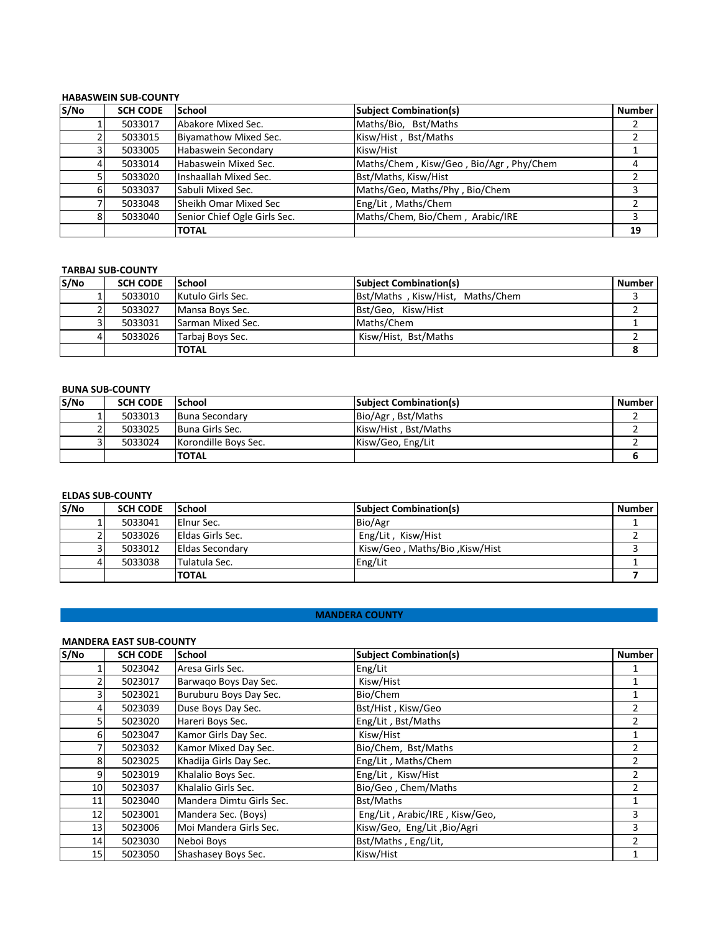### **HABASWEIN SUB-COUNTY**

| S/No           | <b>SCH CODE</b> | School                       | <b>Subject Combination(s)</b>           | <b>Number</b> |
|----------------|-----------------|------------------------------|-----------------------------------------|---------------|
|                | 5033017         | Abakore Mixed Sec.           | Maths/Bio, Bst/Maths                    |               |
|                | 5033015         | Biyamathow Mixed Sec.        | Kisw/Hist, Bst/Maths                    |               |
| 31             | 5033005         | Habaswein Secondary          | Kisw/Hist                               |               |
| $\overline{4}$ | 5033014         | Habaswein Mixed Sec.         | Maths/Chem, Kisw/Geo, Bio/Agr, Phy/Chem | 4             |
|                | 5033020         | Inshaallah Mixed Sec.        | Bst/Maths, Kisw/Hist                    |               |
| 6              | 5033037         | Sabuli Mixed Sec.            | Maths/Geo, Maths/Phy, Bio/Chem          |               |
|                | 5033048         | lSheikh Omar Mixed Sec       | Eng/Lit, Maths/Chem                     |               |
| 8              | 5033040         | Senior Chief Ogle Girls Sec. | Maths/Chem, Bio/Chem, Arabic/IRE        | 3             |
|                |                 | <b>TOTAL</b>                 |                                         | 19            |

#### **TARBAJ SUB-COUNTY**

| S/No | <b>SCH CODE</b> | <b>School</b>     | <b>Subject Combination(s)</b>    | <b>Number</b> |
|------|-----------------|-------------------|----------------------------------|---------------|
|      | 5033010         | Kutulo Girls Sec. | Bst/Maths, Kisw/Hist, Maths/Chem |               |
|      | 5033027         | Mansa Boys Sec.   | Bst/Geo, Kisw/Hist               |               |
|      | 5033031         | Sarman Mixed Sec. | Maths/Chem                       |               |
| 4    | 5033026         | Tarbai Boys Sec.  | Kisw/Hist, Bst/Maths             |               |
|      |                 | <b>TOTAL</b>      |                                  |               |

### **BUNA SUB-COUNTY**

| S/No | <b>SCH CODE</b> | <b>School</b>         | <b>Subject Combination(s)</b> | <b>Number</b> |
|------|-----------------|-----------------------|-------------------------------|---------------|
|      | 5033013         | <b>Buna Secondary</b> | Bio/Agr, Bst/Maths            |               |
|      | 5033025         | Buna Girls Sec.       | Kisw/Hist, Bst/Maths          |               |
|      | 5033024         | Korondille Boys Sec.  | Kisw/Geo, Eng/Lit             |               |
|      |                 | <b>ITOTAL</b>         |                               |               |

## **ELDAS SUB-COUNTY**

| S/No | <b>SCH CODE</b> | <b>School</b>           | <b>Subject Combination(s)</b>  | <b>Number</b> |
|------|-----------------|-------------------------|--------------------------------|---------------|
|      | 5033041         | <b>IEInur Sec.</b>      | Bio/Agr                        |               |
|      | 5033026         | <b>Eldas Girls Sec.</b> | Eng/Lit, Kisw/Hist             |               |
|      | 5033012         | <b>IEldas Secondary</b> | Kisw/Geo, Maths/Bio, Kisw/Hist |               |
|      | 5033038         | Tulatula Sec.           | Eng/Lit                        |               |
|      |                 | <b>TOTAL</b>            |                                |               |

### **MANDERA COUNTY**

## **MANDERA EAST SUB-COUNTY**

| S/No | <b>SCH CODE</b> | <b>School</b>            | <b>Subject Combination(s)</b>  | <b>Number</b> |
|------|-----------------|--------------------------|--------------------------------|---------------|
|      | 5023042         | Aresa Girls Sec.         | Eng/Lit                        |               |
|      | 5023017         | Barwago Boys Day Sec.    | Kisw/Hist                      |               |
| 31   | 5023021         | Buruburu Boys Day Sec.   | Bio/Chem                       |               |
| 4    | 5023039         | Duse Boys Day Sec.       | Bst/Hist, Kisw/Geo             | $\mathcal{P}$ |
| 5    | 5023020         | Hareri Boys Sec.         | Eng/Lit, Bst/Maths             |               |
| 6    | 5023047         | Kamor Girls Day Sec.     | Kisw/Hist                      |               |
|      | 5023032         | Kamor Mixed Day Sec.     | Bio/Chem, Bst/Maths            | 2             |
| 8    | 5023025         | Khadija Girls Day Sec.   | Eng/Lit, Maths/Chem            |               |
| 9    | 5023019         | Khalalio Boys Sec.       | Eng/Lit, Kisw/Hist             | 2             |
| 10   | 5023037         | Khalalio Girls Sec.      | Bio/Geo, Chem/Maths            | $\mathcal{P}$ |
| 11   | 5023040         | Mandera Dimtu Girls Sec. | Bst/Maths                      |               |
| 12   | 5023001         | Mandera Sec. (Boys)      | Eng/Lit, Arabic/IRE, Kisw/Geo, | 3             |
| 13   | 5023006         | Moi Mandera Girls Sec.   | Kisw/Geo, Eng/Lit, Bio/Agri    | 3             |
| 14   | 5023030         | Neboi Boys               | Bst/Maths, Eng/Lit,            |               |
| 15   | 5023050         | Shashasey Boys Sec.      | Kisw/Hist                      |               |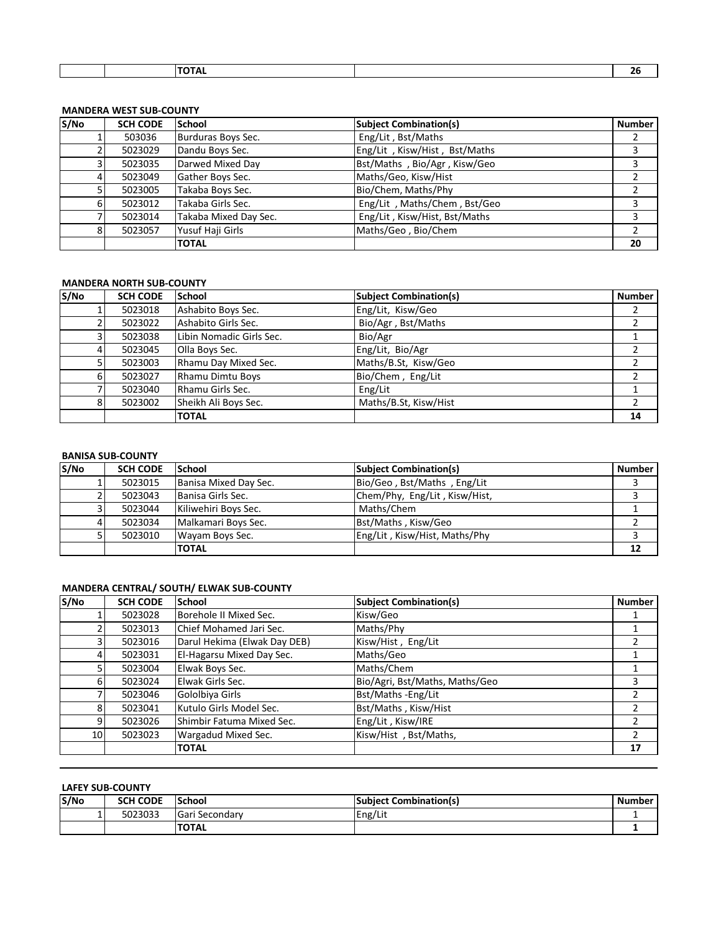|  |  |  | _ _ _ _<br>ΏΤΑ⊾ |  | --<br>__ |
|--|--|--|-----------------|--|----------|
|--|--|--|-----------------|--|----------|

## **MANDERA WEST SUB-COUNTY**

| S/No | <b>SCH CODE</b> | School                | <b>Subject Combination(s)</b> | <b>Number</b> |
|------|-----------------|-----------------------|-------------------------------|---------------|
|      | 503036          | Burduras Boys Sec.    | Eng/Lit, Bst/Maths            |               |
|      | 5023029         | Dandu Boys Sec.       | Eng/Lit, Kisw/Hist, Bst/Maths |               |
| 3    | 5023035         | Darwed Mixed Day      | Bst/Maths, Bio/Agr, Kisw/Geo  |               |
| 4    | 5023049         | Gather Boys Sec.      | Maths/Geo, Kisw/Hist          |               |
|      | 5023005         | Takaba Boys Sec.      | Bio/Chem, Maths/Phy           |               |
| 6    | 5023012         | Takaba Girls Sec.     | Eng/Lit, Maths/Chem, Bst/Geo  |               |
|      | 5023014         | Takaba Mixed Day Sec. | Eng/Lit, Kisw/Hist, Bst/Maths |               |
| 8    | 5023057         | Yusuf Haji Girls      | Maths/Geo, Bio/Chem           |               |
|      |                 | <b>TOTAL</b>          |                               | 20            |

#### **MANDERA NORTH SUB-COUNTY**

| S/NO           | <b>SCH CODE</b> | <b>School</b>            | <b>Subject Combination(s)</b> | <b>Number</b> |
|----------------|-----------------|--------------------------|-------------------------------|---------------|
|                | 5023018         | Ashabito Boys Sec.       | Eng/Lit, Kisw/Geo             |               |
|                | 5023022         | Ashabito Girls Sec.      | Bio/Agr, Bst/Maths            |               |
| 31             | 5023038         | Libin Nomadic Girls Sec. | Bio/Agr                       |               |
| $\overline{4}$ | 5023045         | Olla Boys Sec.           | Eng/Lit, Bio/Agr              |               |
| 5              | 5023003         | Rhamu Day Mixed Sec.     | Maths/B.St, Kisw/Geo          |               |
| 6              | 5023027         | Rhamu Dimtu Boys         | Bio/Chem, Eng/Lit             |               |
|                | 5023040         | Rhamu Girls Sec.         | Eng/Lit                       |               |
| 8              | 5023002         | Sheikh Ali Boys Sec.     | Maths/B.St, Kisw/Hist         |               |
|                |                 | <b>TOTAL</b>             |                               | 14            |

#### **BANISA SUB-COUNTY**

| S/No | <b>SCH CODE</b> | <b>School</b>         | <b>Subject Combination(s)</b> | <b>Number</b> |
|------|-----------------|-----------------------|-------------------------------|---------------|
|      | 5023015         | Banisa Mixed Day Sec. | Bio/Geo, Bst/Maths, Eng/Lit   |               |
|      | 5023043         | Banisa Girls Sec.     | Chem/Phy, Eng/Lit, Kisw/Hist, |               |
|      | 5023044         | Kiliwehiri Boys Sec.  | Maths/Chem                    |               |
| 4    | 5023034         | Malkamari Boys Sec.   | Bst/Maths, Kisw/Geo           |               |
|      | 5023010         | Wayam Boys Sec.       | Eng/Lit, Kisw/Hist, Maths/Phy |               |
|      |                 | <b>TOTAL</b>          |                               |               |

## **MANDERA CENTRAL/ SOUTH/ ELWAK SUB-COUNTY**

| S/No           | <b>SCH CODE</b> | <b>School</b>                | <b>Subject Combination(s)</b>  | <b>Number</b> |
|----------------|-----------------|------------------------------|--------------------------------|---------------|
|                | 5023028         | Borehole II Mixed Sec.       | Kisw/Geo                       |               |
|                | 5023013         | Chief Mohamed Jari Sec.      | Maths/Phy                      |               |
| 3              | 5023016         | Darul Hekima (Elwak Day DEB) | Kisw/Hist, Eng/Lit             |               |
| $\overline{4}$ | 5023031         | El-Hagarsu Mixed Day Sec.    | Maths/Geo                      |               |
|                | 5023004         | Elwak Boys Sec.              | Maths/Chem                     |               |
| 6              | 5023024         | Elwak Girls Sec.             | Bio/Agri, Bst/Maths, Maths/Geo |               |
|                | 5023046         | Gololbiya Girls              | Bst/Maths - Eng/Lit            |               |
| 8              | 5023041         | Kutulo Girls Model Sec.      | Bst/Maths, Kisw/Hist           |               |
| 9              | 5023026         | Shimbir Fatuma Mixed Sec.    | Eng/Lit, Kisw/IRE              |               |
| 10             | 5023023         | Wargadud Mixed Sec.          | Kisw/Hist, Bst/Maths,          |               |
|                |                 | <b>TOTAL</b>                 |                                | 17            |

### **LAFEY SUB-COUNTY**

| S/No | <b>SCH CODE</b> | <b>School</b>  | <b>Subiect Combination(s)</b> | <b>Number</b> |
|------|-----------------|----------------|-------------------------------|---------------|
|      | 5023033         | Gari Secondary | Eng/Lit                       |               |
|      |                 | <b>TOTAL</b>   |                               |               |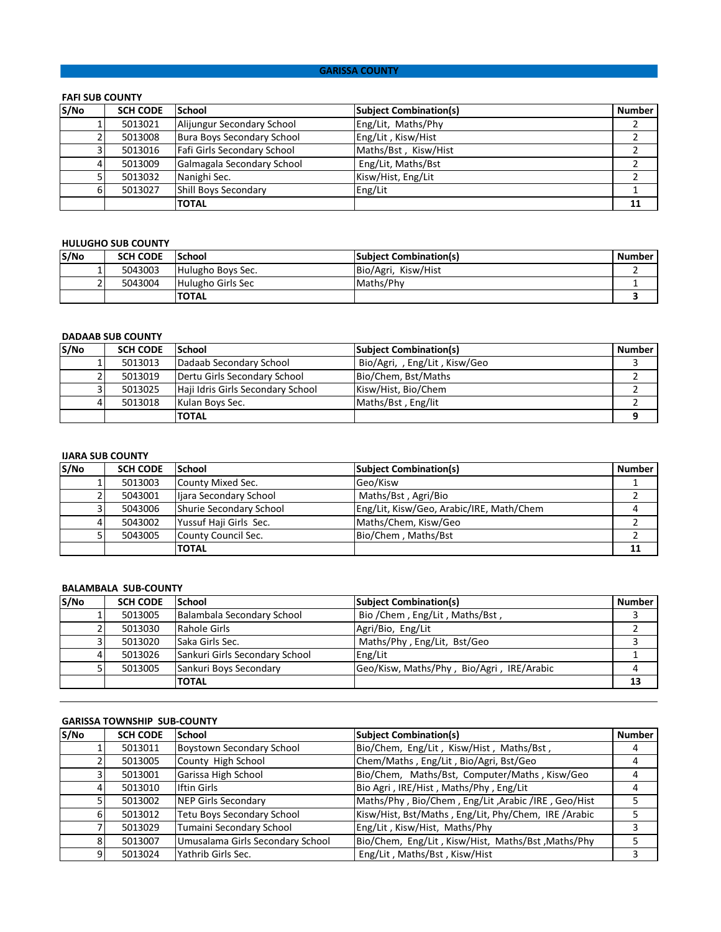#### **GARISSA COUNTY**

## **FAFI SUB COUNTY**

| S/No | <b>SCH CODE</b> | School                      | <b>Subject Combination(s)</b> | <b>Number</b> |
|------|-----------------|-----------------------------|-------------------------------|---------------|
|      | 5013021         | Alijungur Secondary School  | Eng/Lit, Maths/Phy            |               |
|      | 5013008         | Bura Boys Secondary School  | Eng/Lit, Kisw/Hist            |               |
|      | 5013016         | Fafi Girls Secondary School | Maths/Bst, Kisw/Hist          |               |
|      | 5013009         | Galmagala Secondary School  | Eng/Lit, Maths/Bst            |               |
|      | 5013032         | Nanighi Sec.                | Kisw/Hist, Eng/Lit            |               |
|      | 5013027         | Shill Boys Secondary        | Eng/Lit                       |               |
|      |                 | <b>TOTAL</b>                |                               | 11            |

#### **HULUGHO SUB COUNTY**

| S/No | <b>SCH CODE</b> | <b>School</b>     | <b>Subject Combination(s)</b> | <b>Number</b> |
|------|-----------------|-------------------|-------------------------------|---------------|
|      | 5043003         | Hulugho Boys Sec. | Bio/Agri, Kisw/Hist           |               |
|      | 5043004         | Hulugho Girls Sec | Maths/Phy                     |               |
|      |                 | <b>TOTAL</b>      |                               |               |

#### **DADAAB SUB COUNTY**

| S/No | <b>SCH CODE</b> | <b>School</b>                     | <b>Subject Combination(s)</b> | <b>Number</b> |
|------|-----------------|-----------------------------------|-------------------------------|---------------|
|      | 5013013         | Dadaab Secondary School           | Bio/Agri,, Eng/Lit, Kisw/Geo  |               |
|      | 5013019         | Dertu Girls Secondary School      | Bio/Chem, Bst/Maths           |               |
|      | 5013025         | Haji Idris Girls Secondary School | Kisw/Hist, Bio/Chem           |               |
|      | 5013018         | Kulan Boys Sec.                   | Maths/Bst, Eng/lit            |               |
|      |                 | <b>TOTAL</b>                      |                               |               |

#### **IJARA SUB COUNTY**

| S/No | <b>SCH CODE</b> | <b>School</b>           | <b>Subject Combination(s)</b>            | <b>Number</b> |
|------|-----------------|-------------------------|------------------------------------------|---------------|
|      | 5013003         | County Mixed Sec.       | Geo/Kisw                                 |               |
|      | 5043001         | liara Secondary School  | Maths/Bst, Agri/Bio                      |               |
|      | 5043006         | Shurie Secondary School | Eng/Lit, Kisw/Geo, Arabic/IRE, Math/Chem |               |
| 4    | 5043002         | Yussuf Haji Girls Sec.  | Maths/Chem, Kisw/Geo                     |               |
|      | 5043005         | County Council Sec.     | Bio/Chem, Maths/Bst                      |               |
|      |                 | <b>TOTAL</b>            |                                          |               |

#### **BALAMBALA SUB-COUNTY**

| S/No | <b>SCH CODE</b> | <b>School</b>                  | <b>Subject Combination(s)</b>             | <b>Number</b> |
|------|-----------------|--------------------------------|-------------------------------------------|---------------|
|      | 5013005         | Balambala Secondary School     | Bio / Chem, Eng/Lit, Maths/Bst,           |               |
|      | 5013030         | Rahole Girls                   | Agri/Bio, Eng/Lit                         |               |
|      | 5013020         | <b>Saka Girls Sec.</b>         | Maths/Phy, Eng/Lit, Bst/Geo               |               |
|      | 5013026         | Sankuri Girls Secondary School | Eng/Lit                                   |               |
|      | 5013005         | Sankuri Boys Secondary         | Geo/Kisw, Maths/Phy, Bio/Agri, IRE/Arabic |               |
|      |                 | <b>TOTAL</b>                   |                                           |               |

### **GARISSA TOWNSHIP SUB-COUNTY**

| S/No | <b>SCH CODE</b> | <b>School</b>                     | <b>Subject Combination(s)</b>                        | <b>Number</b> |
|------|-----------------|-----------------------------------|------------------------------------------------------|---------------|
|      | 5013011         | Boystown Secondary School         | Bio/Chem, Eng/Lit, Kisw/Hist, Maths/Bst,             |               |
|      | 5013005         | County High School                | Chem/Maths, Eng/Lit, Bio/Agri, Bst/Geo               |               |
|      | 5013001         | Garissa High School               | Bio/Chem, Maths/Bst, Computer/Maths, Kisw/Geo        |               |
|      | 5013010         | <b>Iftin Girls</b>                | Bio Agri, IRE/Hist, Maths/Phy, Eng/Lit               |               |
|      | 5013002         | NEP Girls Secondary               | Maths/Phy, Bio/Chem, Eng/Lit, Arabic /IRE, Geo/Hist  |               |
|      | 5013012         | <b>Tetu Boys Secondary School</b> | Kisw/Hist, Bst/Maths, Eng/Lit, Phy/Chem, IRE /Arabic |               |
|      | 5013029         | Tumaini Secondary School          | Eng/Lit, Kisw/Hist, Maths/Phy                        |               |
|      | 5013007         | Umusalama Girls Secondary School  | Bio/Chem, Eng/Lit, Kisw/Hist, Maths/Bst, Maths/Phy   |               |
|      | 5013024         | Yathrib Girls Sec.                | Eng/Lit, Maths/Bst, Kisw/Hist                        |               |